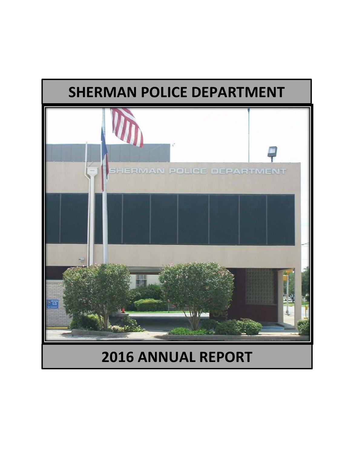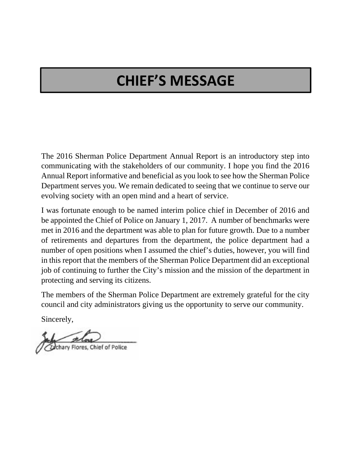## **CHIEF'S MESSAGE**

The 2016 Sherman Police Department Annual Report is an introductory step into communicating with the stakeholders of our community. I hope you find the 2016 Annual Report informative and beneficial as you look to see how the Sherman Police Department serves you. We remain dedicated to seeing that we continue to serve our evolving society with an open mind and a heart of service.

I was fortunate enough to be named interim police chief in December of 2016 and be appointed the Chief of Police on January 1, 2017. A number of benchmarks were met in 2016 and the department was able to plan for future growth. Due to a number of retirements and departures from the department, the police department had a number of open positions when I assumed the chief's duties, however, you will find in this report that the members of the Sherman Police Department did an exceptional job of continuing to further the City's mission and the mission of the department in protecting and serving its citizens.

The members of the Sherman Police Department are extremely grateful for the city council and city administrators giving us the opportunity to serve our community.

Sincerely,

ary Flores, Chief of Police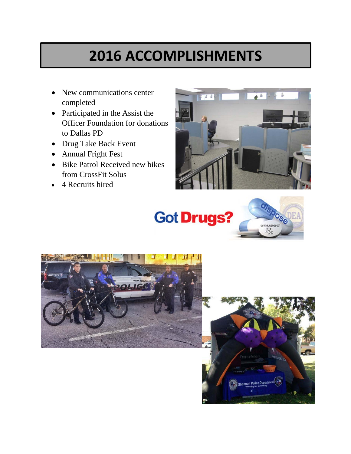## **2016 ACCOMPLISHMENTS**

- New communications center completed
- Participated in the Assist the Officer Foundation for donations to Dallas PD
- Drug Take Back Event
- Annual Fright Fest
- Bike Patrol Received new bikes from CrossFit Solus
- 4 Recruits hired







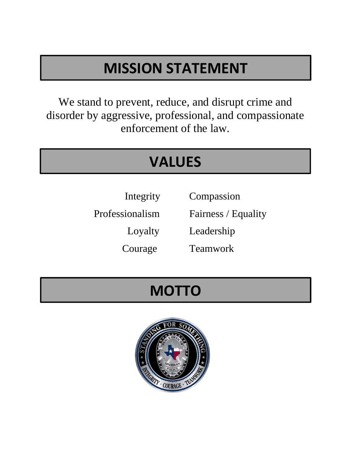# **MISSION STATEMENT**

We stand to prevent, reduce, and disrupt crime and disorder by aggressive, professional, and compassionate enforcement of the law.

## **VALUES**

Integrity Compassion

Professionalism Fairness / Equality

Loyalty Leadership

Courage Teamwork

## **MOTTO**

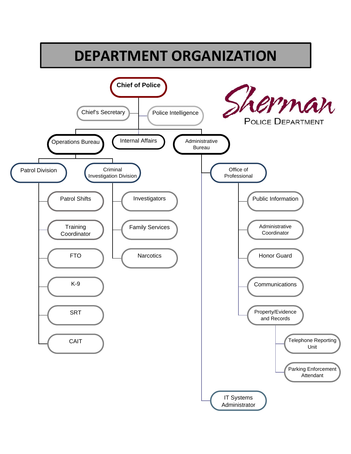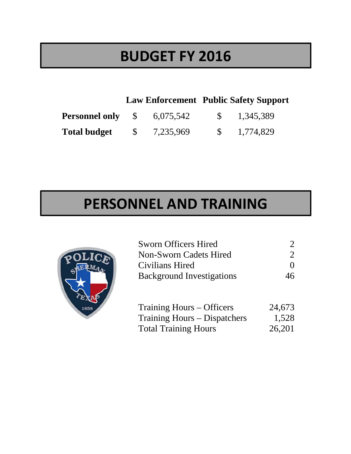### **BUDGET FY 2016**

### **Law Enforcement Public Safety Support**

| <b>Personnel only</b> \$ | 6,075,542 | 1,345,389 |
|--------------------------|-----------|-----------|
| <b>Total budget</b>      | 7,235,969 | 1,774,829 |

## **PERSONNEL AND TRAINING**



| <b>Sworn Officers Hired</b>      |                             |
|----------------------------------|-----------------------------|
| Non-Sworn Cadets Hired           | $\mathcal{D}_{\mathcal{L}}$ |
| Civilians Hired                  | $\mathbf{0}$                |
| <b>Background Investigations</b> | 46                          |
|                                  |                             |
| Training Hours – Officers        | 24,673                      |
| Training Hours – Dispatchers     | 1,528                       |

Total Training Hours 26,201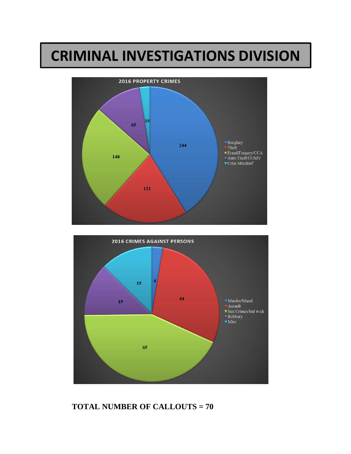### **CRIMINAL INVESTIGATIONS DIVISION**





#### **TOTAL NUMBER OF CALLOUTS = 70**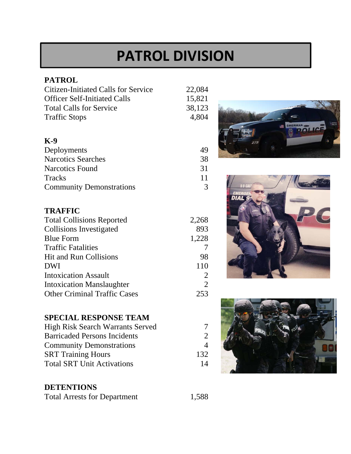## **PATROL DIVISION**

#### **PATROL**

| <b>Citizen-Initiated Calls for Service</b> | 22,084         |
|--------------------------------------------|----------------|
| <b>Officer Self-Initiated Calls</b>        | 15,821         |
| <b>Total Calls for Service</b>             | 38,123         |
| <b>Traffic Stops</b>                       | 4,804          |
| K-9                                        |                |
| Deployments                                | 49             |
| <b>Narcotics Searches</b>                  | 38             |
| <b>Narcotics Found</b>                     | 31             |
| Tracks                                     | 11             |
| <b>Community Demonstrations</b>            | 3              |
| TRAFFIC                                    |                |
| <b>Total Collisions Reported</b>           | 2,268          |
| Collisions Investigated                    | 893            |
| <b>Blue Form</b>                           | 1,228          |
| <b>Traffic Fatalities</b>                  | 7              |
| <b>Hit and Run Collisions</b>              | 98             |
| DWI                                        | 110            |
| <b>Intoxication Assault</b>                | 2              |
| <b>Intoxication Manslaughter</b>           | $\overline{2}$ |
| <b>Other Criminal Traffic Cases</b>        | 253            |

### **SPECIAL RESPONSE TEAM**

High Risk Search Warrants Served 7 Barricaded Persons Incidents 2 Community Demonstrations 4 SRT Training Hours 132 Total SRT Unit Activations 14

#### **DETENTIONS**

Total Arrests for Department 1,588





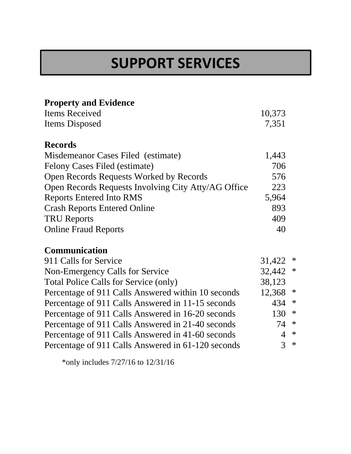## **SUPPORT SERVICES**

| <b>Property and Evidence</b>                        |        |             |
|-----------------------------------------------------|--------|-------------|
| <b>Items Received</b>                               | 10,373 |             |
| <b>Items Disposed</b>                               | 7,351  |             |
| <b>Records</b>                                      |        |             |
| Misdemeanor Cases Filed (estimate)                  | 1,443  |             |
| Felony Cases Filed (estimate)                       | 706    |             |
| Open Records Requests Worked by Records             | 576    |             |
| Open Records Requests Involving City Atty/AG Office | 223    |             |
| <b>Reports Entered Into RMS</b>                     | 5,964  |             |
| <b>Crash Reports Entered Online</b>                 | 893    |             |
| <b>TRU Reports</b>                                  | 409    |             |
| <b>Online Fraud Reports</b>                         | 40     |             |
| <b>Communication</b>                                |        |             |
| 911 Calls for Service                               | 31,422 | $\ast$      |
| Non-Emergency Calls for Service                     |        | 32,442<br>∗ |
| Total Police Calls for Service (only)               | 38,123 |             |
| Percentage of 911 Calls Answered within 10 seconds  | 12,368 | ∗           |
| Percentage of 911 Calls Answered in 11-15 seconds   |        | $\ast$      |
| Percentage of 911 Calls Answered in 16-20 seconds   |        | $\ast$      |
| Percentage of 911 Calls Answered in 21-40 seconds   | 74     | $\ast$      |
| Percentage of 911 Calls Answered in 41-60 seconds   | 4      | $\ast$      |
| Percentage of 911 Calls Answered in 61-120 seconds  | 3      | $\ast$      |

\*only includes 7/27/16 to 12/31/16